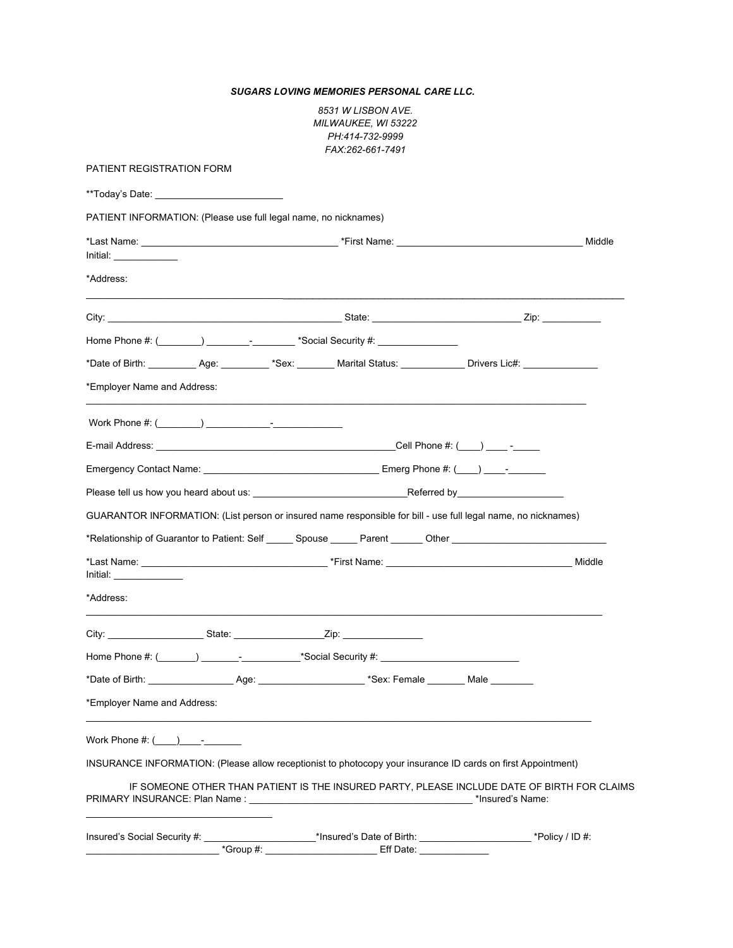*SUGARS LOVING MEMORIES PERSONAL CARE LLC.*

| 8531 W LISBON AVE.         |
|----------------------------|
| <i>MILWAUKEE, WI 53222</i> |
| PH:414-732-9999            |
| FAX:262-661-7491           |

| <b>PATIENT REGISTRATION FORM</b>                                                                                |  |                                                                                                                              |                                                                                                                 |  |  |
|-----------------------------------------------------------------------------------------------------------------|--|------------------------------------------------------------------------------------------------------------------------------|-----------------------------------------------------------------------------------------------------------------|--|--|
| **Today's Date: National Assembly and Assembly and Assembly and Assembly and Assembly and Assembly and Assembly |  |                                                                                                                              |                                                                                                                 |  |  |
|                                                                                                                 |  | PATIENT INFORMATION: (Please use full legal name, no nicknames)                                                              |                                                                                                                 |  |  |
| Initial:                                                                                                        |  |                                                                                                                              |                                                                                                                 |  |  |
| *Address:                                                                                                       |  |                                                                                                                              |                                                                                                                 |  |  |
|                                                                                                                 |  |                                                                                                                              |                                                                                                                 |  |  |
|                                                                                                                 |  |                                                                                                                              |                                                                                                                 |  |  |
|                                                                                                                 |  | *Date of Birth: ____________Age: ___________ *Sex: _________ Marital Status: ______________ Drivers Lic#: __________________ |                                                                                                                 |  |  |
| *Employer Name and Address:                                                                                     |  |                                                                                                                              |                                                                                                                 |  |  |
| Work Phone #: $(\_\_\_\_\_)$                                                                                    |  |                                                                                                                              |                                                                                                                 |  |  |
|                                                                                                                 |  |                                                                                                                              |                                                                                                                 |  |  |
|                                                                                                                 |  |                                                                                                                              |                                                                                                                 |  |  |
|                                                                                                                 |  |                                                                                                                              |                                                                                                                 |  |  |
|                                                                                                                 |  |                                                                                                                              |                                                                                                                 |  |  |
|                                                                                                                 |  | GUARANTOR INFORMATION: (List person or insured name responsible for bill - use full legal name, no nicknames)                |                                                                                                                 |  |  |
|                                                                                                                 |  |                                                                                                                              |                                                                                                                 |  |  |
|                                                                                                                 |  |                                                                                                                              | *Relationship of Guarantor to Patient: Self ______ Spouse ______ Parent _______ Other _________________________ |  |  |
|                                                                                                                 |  |                                                                                                                              |                                                                                                                 |  |  |
|                                                                                                                 |  |                                                                                                                              |                                                                                                                 |  |  |
| Initial:<br>*Address:                                                                                           |  |                                                                                                                              |                                                                                                                 |  |  |
|                                                                                                                 |  |                                                                                                                              |                                                                                                                 |  |  |
|                                                                                                                 |  |                                                                                                                              |                                                                                                                 |  |  |
| *Employer Name and Address:<br>Work Phone $\#$ : $($ ) -                                                        |  |                                                                                                                              |                                                                                                                 |  |  |
|                                                                                                                 |  | INSURANCE INFORMATION: (Please allow receptionist to photocopy your insurance ID cards on first Appointment)                 |                                                                                                                 |  |  |
|                                                                                                                 |  |                                                                                                                              | IF SOMEONE OTHER THAN PATIENT IS THE INSURED PARTY, PLEASE INCLUDE DATE OF BIRTH FOR CLAIMS                     |  |  |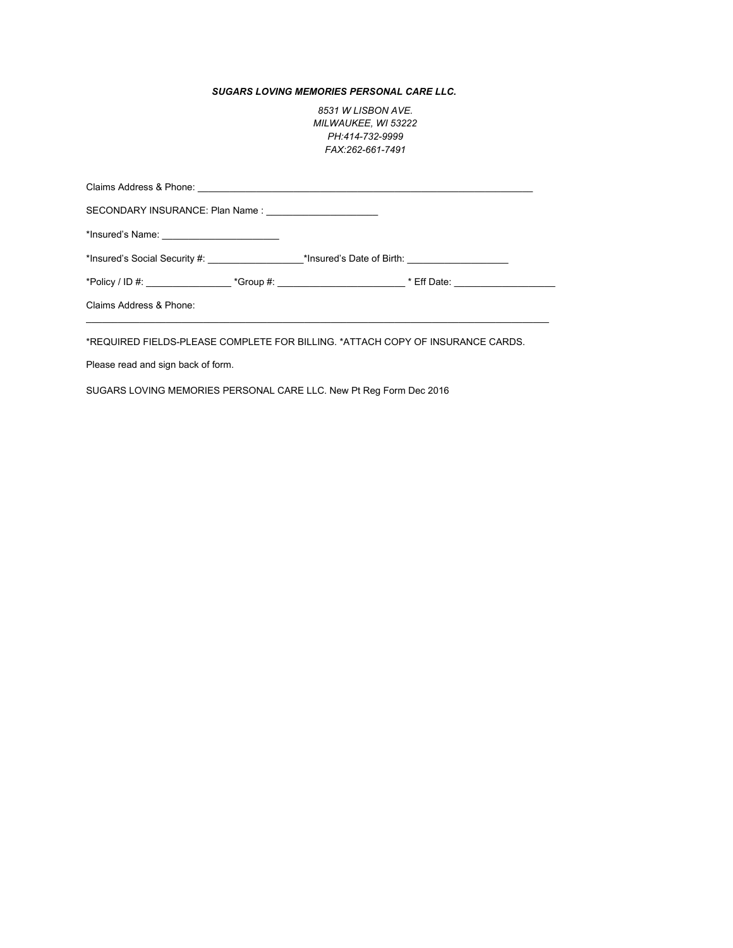## *SUGARS LOVING MEMORIES PERSONAL CARE LLC.*

*8531 W LISBON AVE. MILWAUKEE, WI 53222 PH:414-732-9999 FAX:262-661-7491*

| SECONDARY INSURANCE: Plan Name : _____________________ |  |  |                                                                                                                |  |  |  |
|--------------------------------------------------------|--|--|----------------------------------------------------------------------------------------------------------------|--|--|--|
|                                                        |  |  |                                                                                                                |  |  |  |
|                                                        |  |  |                                                                                                                |  |  |  |
|                                                        |  |  | *Policy / ID #: ____________________*Group #: _______________________________* Eff Date: _____________________ |  |  |  |
| Claims Address & Phone:                                |  |  |                                                                                                                |  |  |  |
|                                                        |  |  |                                                                                                                |  |  |  |

\*REQUIRED FIELDS-PLEASE COMPLETE FOR BILLING. \*ATTACH COPY OF INSURANCE CARDS.

Please read and sign back of form.

SUGARS LOVING MEMORIES PERSONAL CARE LLC. New Pt Reg Form Dec 2016